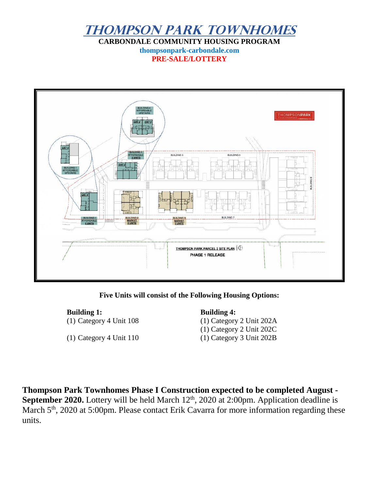

**CARBONDALE COMMUNITY HOUSING PROGRAM thompsonpark-carbondale.com PRE-SALE/LOTTERY**



**Five Units will consist of the Following Housing Options:**

**Building 1: Building 4:** (1) Category 4 Unit 108 (1) Category 2 Unit 202A

(1) Category 4 Unit 110 (1) Category 3 Unit 202B

(1) Category 2 Unit 202C

**Thompson Park Townhomes Phase I Construction expected to be completed August - September 2020.** Lottery will be held March 12<sup>th</sup>, 2020 at 2:00pm. Application deadline is March 5<sup>th</sup>, 2020 at 5:00pm. Please contact Erik Cavarra for more information regarding these units.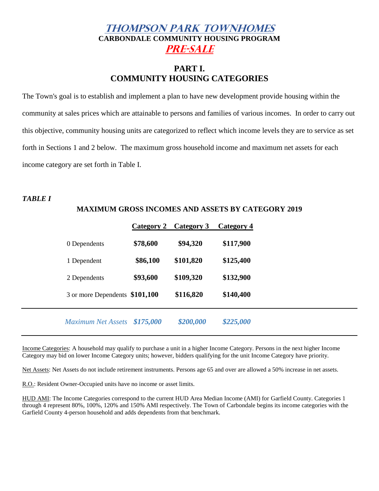# **Thompson Park Townhomes CARBONDALE COMMUNITY HOUSING PROGRAM Pre-Sale**

# **PART I. COMMUNITY HOUSING CATEGORIES**

The Town's goal is to establish and implement a plan to have new development provide housing within the community at sales prices which are attainable to persons and families of various incomes. In order to carry out this objective, community housing units are categorized to reflect which income levels they are to service as set forth in Sections 1 and 2 below. The maximum gross household income and maximum net assets for each income category are set forth in Table I.

#### *TABLE I*

# **Category 2 Category 3 Category 4** 0 Dependents **\$78,600 \$94,320 \$117,900** 1 Dependent **\$86,100 \$101,820 \$125,400** 2 Dependents **\$93,600 \$109,320 \$132,900** 3 or more Dependents **\$101,100 \$116,820 \$140,400**

**MAXIMUM GROSS INCOMES AND ASSETS BY CATEGORY 2019**

Income Categories: A household may qualify to purchase a unit in a higher Income Category. Persons in the next higher Income Category may bid on lower Income Category units; however, bidders qualifying for the unit Income Category have priority.

 *Maximum Net Assets \$175,000 \$200,000 \$225,000*

Net Assets: Net Assets do not include retirement instruments. Persons age 65 and over are allowed a 50% increase in net assets.

R.O.: Resident Owner-Occupied units have no income or asset limits.

HUD AMI: The Income Categories correspond to the current HUD Area Median Income (AMI) for Garfield County. Categories 1 through 4 represent 80%, 100%, 120% and 150% AMI respectively. The Town of Carbondale begins its income categories with the Garfield County 4-person household and adds dependents from that benchmark.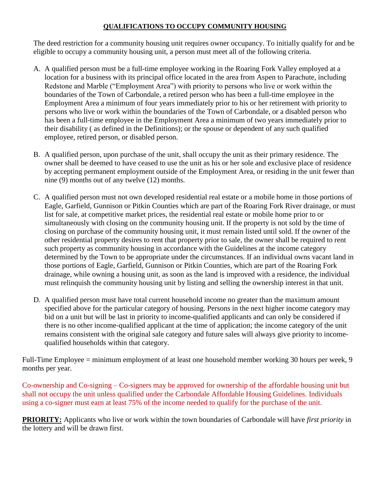#### **QUALIFICATIONS TO OCCUPY COMMUNITY HOUSING**

The deed restriction for a community housing unit requires owner occupancy. To initially qualify for and be eligible to occupy a community housing unit, a person must meet all of the following criteria.

- A. A qualified person must be a full-time employee working in the Roaring Fork Valley employed at a location for a business with its principal office located in the area from Aspen to Parachute, including Redstone and Marble ("Employment Area") with priority to persons who live or work within the boundaries of the Town of Carbondale, a retired person who has been a full-time employee in the Employment Area a minimum of four years immediately prior to his or her retirement with priority to persons who live or work within the boundaries of the Town of Carbondale, or a disabled person who has been a full-time employee in the Employment Area a minimum of two years immediately prior to their disability ( as defined in the Definitions); or the spouse or dependent of any such qualified employee, retired person, or disabled person.
- B. A qualified person, upon purchase of the unit, shall occupy the unit as their primary residence. The owner shall be deemed to have ceased to use the unit as his or her sole and exclusive place of residence by accepting permanent employment outside of the Employment Area, or residing in the unit fewer than nine (9) months out of any twelve (12) months.
- C. A qualified person must not own developed residential real estate or a mobile home in those portions of Eagle, Garfield, Gunnison or Pitkin Counties which are part of the Roaring Fork River drainage, or must list for sale, at competitive market prices, the residential real estate or mobile home prior to or simultaneously with closing on the community housing unit. If the property is not sold by the time of closing on purchase of the community housing unit, it must remain listed until sold. If the owner of the other residential property desires to rent that property prior to sale, the owner shall be required to rent such property as community housing in accordance with the Guidelines at the income category determined by the Town to be appropriate under the circumstances. If an individual owns vacant land in those portions of Eagle, Garfield, Gunnison or Pitkin Counties, which are part of the Roaring Fork drainage, while owning a housing unit, as soon as the land is improved with a residence, the individual must relinquish the community housing unit by listing and selling the ownership interest in that unit.
- D. A qualified person must have total current household income no greater than the maximum amount specified above for the particular category of housing. Persons in the next higher income category may bid on a unit but will be last in priority to income-qualified applicants and can only be considered if there is no other income-qualified applicant at the time of application; the income category of the unit remains consistent with the original sale category and future sales will always give priority to incomequalified households within that category.

Full-Time Employee = minimum employment of at least one household member working 30 hours per week, 9 months per year.

Co-ownership and Co-signing – Co-signers may be approved for ownership of the affordable housing unit but shall not occupy the unit unless qualified under the Carbondale Affordable Housing Guidelines. Individuals using a co-signer must earn at least 75% of the income needed to qualify for the purchase of the unit.

**PRIORITY:** Applicants who live or work within the town boundaries of Carbondale will have *first priority* in the lottery and will be drawn first.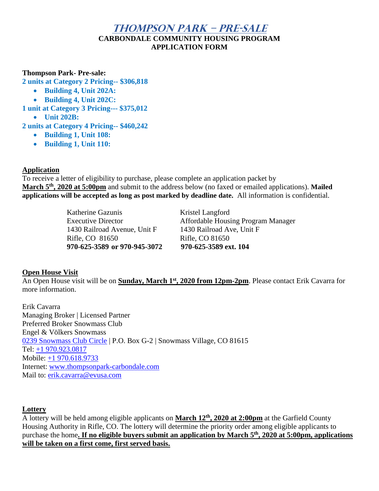# **Thompson Park – Pre-Sale CARBONDALE COMMUNITY HOUSING PROGRAM APPLICATION FORM**

#### **Thompson Park- Pre-sale:**

**2 units at Category 2 Pricing-- \$306,818**

- **Building 4, Unit 202A:**
- **Building 4, Unit 202C:**

**1 unit at Category 3 Pricing--- \$375,012**

• **Unit 202B:**

**2 units at Category 4 Pricing-- \$460,242**

- **Building 1, Unit 108:**
- **Building 1, Unit 110:**

#### **Application**

To receive a letter of eligibility to purchase, please complete an application packet by **March 5th, 2020 at 5:00pm** and submit to the address below (no faxed or emailed applications). **Mailed applications will be accepted as long as post marked by deadline date.** All information is confidential.

> Katherine Gazunis Kristel Langford 1430 Railroad Avenue, Unit F 1430 Railroad Ave, Unit F Rifle, CO 81650 Rifle, CO 81650 **970-625-3589 or 970-945-3072 970-625-3589 ext. 104**

Executive Director Affordable Housing Program Manager

#### **Open House Visit**

An Open House visit will be on **Sunday, March 1st, 2020 from 12pm-2pm**. Please contact Erik Cavarra for more information.

Erik Cavarra Managing Broker | Licensed Partner Preferred Broker Snowmass Club Engel & Völkers Snowmass [0239 Snowmass Club Circle](https://maps.google.com/?q=0236+Snowmass+Club+Circle&entry=gmail&source=g) | P.O. Box G-2 | Snowmass Village, CO 81615 Tel: [+1 970.923.0817](tel:(970)%20923-0817) Mobile: [+1 970.618.9733](tel:(970)%20618-9733) Internet: [www.thompsonpark-carbondale.com](http://www.thompsonpark-carbondale.com/) Mail to: [erik.cavarra@evusa.com](mailto:erik.cavarra@evusa.com)

#### **Lottery**

A lottery will be held among eligible applicants on **March 12th, 2020 at 2:00pm** at the Garfield County Housing Authority in Rifle, CO. The lottery will determine the priority order among eligible applicants to purchase the home**. If no eligible buyers submit an application by March 5th, 2020 at 5:00pm, applications will be taken on a first come, first served basis.**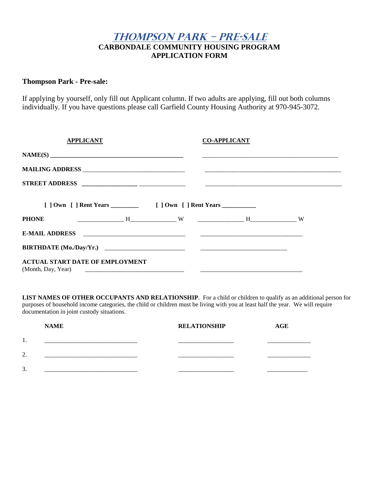# **Thompson Park – Pre-Sale CARBONDALE COMMUNITY HOUSING PROGRAM APPLICATION FORM**

#### **Thompson Park - Pre-sale:**

If applying by yourself, only fill out Applicant column. If two adults are applying, fill out both columns individually. If you have questions please call Garfield County Housing Authority at 970-945-3072.

| <b>APPLICANT</b>                       |  | <b>CO-APPLICANT</b> |  |
|----------------------------------------|--|---------------------|--|
|                                        |  |                     |  |
|                                        |  |                     |  |
|                                        |  |                     |  |
|                                        |  |                     |  |
| <b>PHONE</b>                           |  |                     |  |
|                                        |  |                     |  |
|                                        |  |                     |  |
| <b>ACTUAL START DATE OF EMPLOYMENT</b> |  |                     |  |

**LIST NAMES OF OTHER OCCUPANTS AND RELATIONSHIP**. For a child or children to qualify as an additional person for purposes of household income categories, the child or children must be living with you at least half the year. We will require documentation in joint custody situations.

|         | <b>NAME</b> | <b>RELATIONSHIP</b> | <b>AGE</b> |
|---------|-------------|---------------------|------------|
| ı.      |             |                     |            |
| າ<br>۷. |             |                     |            |
| 3.      |             |                     |            |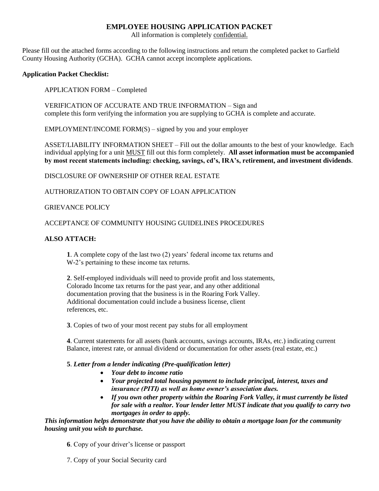#### **EMPLOYEE HOUSING APPLICATION PACKET**

All information is completely confidential.

Please fill out the attached forms according to the following instructions and return the completed packet to Garfield County Housing Authority (GCHA). GCHA cannot accept incomplete applications.

#### **Application Packet Checklist:**

APPLICATION FORM – Completed

VERIFICATION OF ACCURATE AND TRUE INFORMATION – Sign and complete this form verifying the information you are supplying to GCHA is complete and accurate.

 $EMPLOYMENT/INCOME FORM(S) - signed by you and your employer$ 

ASSET/LIABILITY INFORMATION SHEET – Fill out the dollar amounts to the best of your knowledge. Each individual applying for a unit MUST fill out this form completely. **All asset information must be accompanied by most recent statements including: checking, savings, cd's, IRA's, retirement, and investment dividends**.

DISCLOSURE OF OWNERSHIP OF OTHER REAL ESTATE

AUTHORIZATION TO OBTAIN COPY OF LOAN APPLICATION

#### GRIEVANCE POLICY

#### ACCEPTANCE OF COMMUNITY HOUSING GUIDELINES PROCEDURES

#### **ALSO ATTACH:**

**1**. A complete copy of the last two (2) years' federal income tax returns and W-2's pertaining to these income tax returns.

**2**. Self-employed individuals will need to provide profit and loss statements, Colorado Income tax returns for the past year, and any other additional documentation proving that the business is in the Roaring Fork Valley. Additional documentation could include a business license, client references, etc.

**3**. Copies of two of your most recent pay stubs for all employment

**4**. Current statements for all assets (bank accounts, savings accounts, IRAs, etc.) indicating current Balance, interest rate, or annual dividend or documentation for other assets (real estate, etc.)

#### **5**. *Letter from a lender indicating (Pre-qualification letter)*

- *Your debt to income ratio*
- *Your projected total housing payment to include principal, interest, taxes and insurance (PITI) as well as home owner's association dues.*
- *If you own other property within the Roaring Fork Valley, it must currently be listed for sale with a realtor. Your lender letter MUST indicate that you qualify to carry two mortgages in order to apply.*

*This information helps demonstrate that you have the ability to obtain a mortgage loan for the community housing unit you wish to purchase.*

**6**. Copy of your driver's license or passport

7. Copy of your Social Security card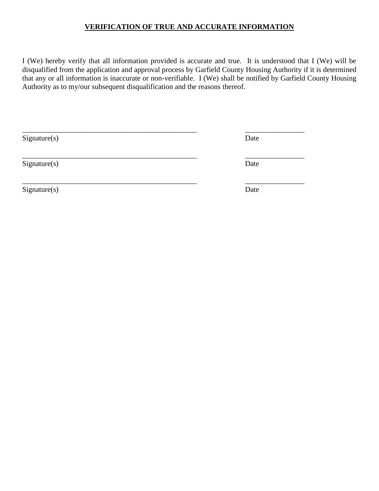#### **VERIFICATION OF TRUE AND ACCURATE INFORMATION**

I (We) hereby verify that all information provided is accurate and true. It is understood that I (We) will be disqualified from the application and approval process by Garfield County Housing Authority if it is determined that any or all information is inaccurate or non-verifiable. I (We) shall be notified by Garfield County Housing Authority as to my/our subsequent disqualification and the reasons thereof.

| Signature(s) | Date |
|--------------|------|
| Signature(s) | Date |
| Signature(s) | Date |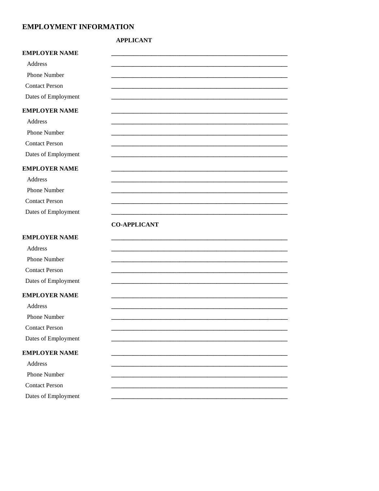#### **EMPLOYMENT INFORMATION**

#### **APPLICANT**

| <b>EMPLOYER NAME</b>  |                     |  |  |
|-----------------------|---------------------|--|--|
| Address               |                     |  |  |
| Phone Number          |                     |  |  |
| <b>Contact Person</b> |                     |  |  |
| Dates of Employment   |                     |  |  |
| <b>EMPLOYER NAME</b>  |                     |  |  |
| Address               |                     |  |  |
| Phone Number          |                     |  |  |
| <b>Contact Person</b> |                     |  |  |
| Dates of Employment   |                     |  |  |
| <b>EMPLOYER NAME</b>  |                     |  |  |
| Address               |                     |  |  |
| Phone Number          |                     |  |  |
| <b>Contact Person</b> |                     |  |  |
| Dates of Employment   |                     |  |  |
|                       | <b>CO-APPLICANT</b> |  |  |
| <b>EMPLOYER NAME</b>  |                     |  |  |
| Address               |                     |  |  |
| Phone Number          |                     |  |  |
| <b>Contact Person</b> |                     |  |  |
| Dates of Employment   |                     |  |  |
| <b>EMPLOYER NAME</b>  |                     |  |  |
| Address               |                     |  |  |
| Phone Number          |                     |  |  |
| <b>Contact Person</b> |                     |  |  |
| Dates of Employment   |                     |  |  |
| <b>EMPLOYER NAME</b>  |                     |  |  |
| Address               |                     |  |  |
| Phone Number          |                     |  |  |
| <b>Contact Person</b> |                     |  |  |
| Dates of Employment   |                     |  |  |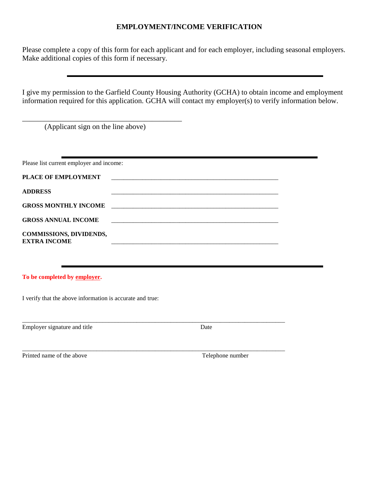#### **EMPLOYMENT/INCOME VERIFICATION**

Please complete a copy of this form for each applicant and for each employer, including seasonal employers. Make additional copies of this form if necessary.

I give my permission to the Garfield County Housing Authority (GCHA) to obtain income and employment information required for this application. GCHA will contact my employer(s) to verify information below.

(Applicant sign on the line above)

\_\_\_\_\_\_\_\_\_\_\_\_\_\_\_\_\_\_\_\_\_\_\_\_\_\_\_\_\_\_\_\_\_\_\_\_\_\_\_\_\_\_\_

| Please list current employer and income: |  |  |
|------------------------------------------|--|--|
| <b>PLACE OF EMPLOYMENT</b>               |  |  |
| <b>ADDRESS</b>                           |  |  |
| <b>GROSS MONTHLY INCOME</b>              |  |  |
| <b>GROSS ANNUAL INCOME</b>               |  |  |
| <b>COMMISSIONS, DIVIDENDS,</b>           |  |  |
| <b>EXTRA INCOME</b>                      |  |  |

\_\_\_\_\_\_\_\_\_\_\_\_\_\_\_\_\_\_\_\_\_\_\_\_\_\_\_\_\_\_\_\_\_\_\_\_\_\_\_\_\_\_\_\_\_\_\_\_\_\_\_\_\_\_\_\_\_\_\_\_\_\_\_\_\_\_\_\_\_\_\_\_\_\_\_\_\_\_\_\_\_\_\_\_\_

\_\_\_\_\_\_\_\_\_\_\_\_\_\_\_\_\_\_\_\_\_\_\_\_\_\_\_\_\_\_\_\_\_\_\_\_\_\_\_\_\_\_\_\_\_\_\_\_\_\_\_\_\_\_\_\_\_\_\_\_\_\_\_\_\_\_\_\_\_\_\_\_\_\_\_\_\_\_\_\_\_\_\_\_\_

**To be completed by employer.**

I verify that the above information is accurate and true:

Employer signature and title Date

Printed name of the above Telephone number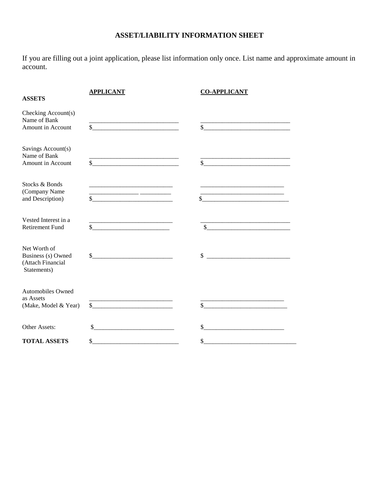# **ASSET/LIABILITY INFORMATION SHEET**

If you are filling out a joint application, please list information only once. List name and approximate amount in account.

| <b>ASSETS</b>                                                          | <b>APPLICANT</b>                                                                                                            | <b>CO-APPLICANT</b>                                                                                                                   |
|------------------------------------------------------------------------|-----------------------------------------------------------------------------------------------------------------------------|---------------------------------------------------------------------------------------------------------------------------------------|
| Checking Account(s)<br>Name of Bank<br>Amount in Account               | \$<br><u> 1980 - Jan James James Barnett, fransk politik (d. 1980)</u>                                                      | \$                                                                                                                                    |
| Savings Account(s)<br>Name of Bank<br>Amount in Account                | $\sim$                                                                                                                      | $\mathbb{S}$                                                                                                                          |
| Stocks & Bonds<br>(Company Name<br>and Description)                    | <u> 1980 - Johann Barbara, martin amerikan basar dan bagi dan bagi dalam bagi dalam bagi dalam bagi dalam bagi da</u><br>\$ | <u> 1989 - Johann Stein, martin santa bashkar (</u><br><u> 1989 - Johann Barn, mars an t-Amerikaansk politiker (</u><br>\$            |
| Vested Interest in a<br><b>Retirement Fund</b>                         | the contract of the contract of the contract of the contract of the contract of<br>\$                                       | <u> 1989 - Johann John Stone, markin amerikan bisa di sebagai pertama dan bagi pertama dan bagi pertama dan bagi </u><br>$\mathbb{S}$ |
| Net Worth of<br>Business (s) Owned<br>(Attach Financial<br>Statements) | $\mathbb{S}^-$                                                                                                              | \$                                                                                                                                    |
| <b>Automobiles Owned</b><br>as Assets<br>(Make, Model & Year)          | $\mathbb{S}^-$<br><u> 1980 - Jan Barbarat, manala</u>                                                                       | \$                                                                                                                                    |
| Other Assets:                                                          | \$                                                                                                                          | \$                                                                                                                                    |
| <b>TOTAL ASSETS</b>                                                    | \$                                                                                                                          | \$                                                                                                                                    |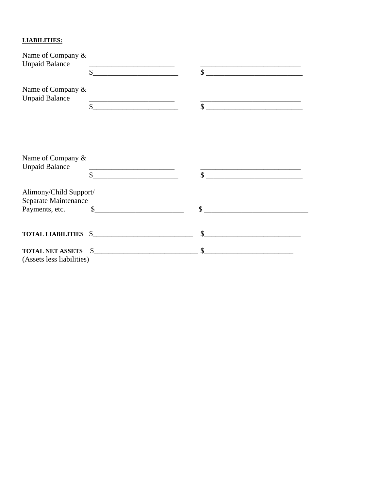#### **LIABILITIES:**

| Name of Company &                                    |                                                                                                                            |                                                                                                                                |  |
|------------------------------------------------------|----------------------------------------------------------------------------------------------------------------------------|--------------------------------------------------------------------------------------------------------------------------------|--|
| <b>Unpaid Balance</b>                                | \$                                                                                                                         | $\mathbb{S}$                                                                                                                   |  |
| Name of Company &<br><b>Unpaid Balance</b>           | <u> 1989 - Jan James James, politik eta idazlea (</u>                                                                      | <u> 1989 - Johann John Stone, mars et al. 1989 - John Stone, mars et al. 1989 - John Stone, mars et al. 1989 - John Stone</u>  |  |
|                                                      | $\mathsf{\$}$                                                                                                              | $\mathbb{S}$                                                                                                                   |  |
|                                                      |                                                                                                                            |                                                                                                                                |  |
| Name of Company $\&$<br><b>Unpaid Balance</b>        |                                                                                                                            |                                                                                                                                |  |
|                                                      | <u> La Carlo Carlo Carlo Carlo Carlo Carlo Carlo Carlo Carlo Carlo Carlo Carlo Carlo Carlo Carlo Carlo Carlo Car</u><br>\$ | <u> 2000 - Jan James James Jan James James James James James James James James James James James James James Jam</u><br>$\sim$ |  |
| Alimony/Child Support/<br>Separate Maintenance       |                                                                                                                            |                                                                                                                                |  |
| Payments, etc.                                       | $\mathbb{S}$                                                                                                               | $\mathcal{S}$                                                                                                                  |  |
| <b>TOTAL LIABILITIES</b> \$                          |                                                                                                                            | \$                                                                                                                             |  |
| <b>TOTAL NET ASSETS</b><br>(Assets less liabilities) | $\frac{1}{2}$                                                                                                              | \$                                                                                                                             |  |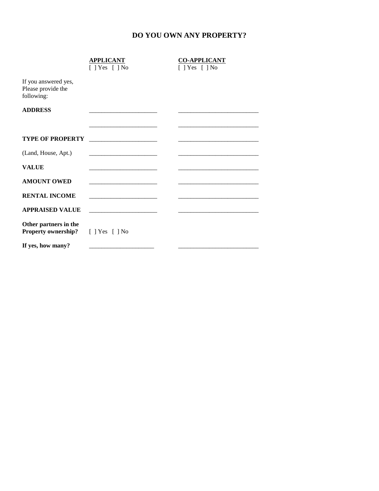# **DO YOU OWN ANY PROPERTY?**

|                                                          | <b>APPLICANT</b><br>$[$ ] Yes $[$ ] No                                                                               | <b>CO-APPLICANT</b><br>$[$ ] Yes $[$ ] No                                       |
|----------------------------------------------------------|----------------------------------------------------------------------------------------------------------------------|---------------------------------------------------------------------------------|
| If you answered yes,<br>Please provide the<br>following: |                                                                                                                      |                                                                                 |
| <b>ADDRESS</b>                                           |                                                                                                                      |                                                                                 |
|                                                          |                                                                                                                      |                                                                                 |
| <b>TYPE OF PROPERTY</b>                                  |                                                                                                                      |                                                                                 |
| (Land, House, Apt.)                                      |                                                                                                                      |                                                                                 |
| <b>VALUE</b>                                             |                                                                                                                      | the contract of the contract of the contract of the contract of the contract of |
| <b>AMOUNT OWED</b>                                       |                                                                                                                      |                                                                                 |
| <b>RENTAL INCOME</b>                                     | <u> 1989 - Johann John Stone, market fan it ferstjer fan it ferstjer fan it ferstjer fan it ferstjer fan it fers</u> |                                                                                 |
| <b>APPRAISED VALUE</b>                                   |                                                                                                                      |                                                                                 |
| Other partners in the<br><b>Property ownership?</b>      | $[$ ] Yes $[$ ] No                                                                                                   |                                                                                 |
| If yes, how many?                                        |                                                                                                                      |                                                                                 |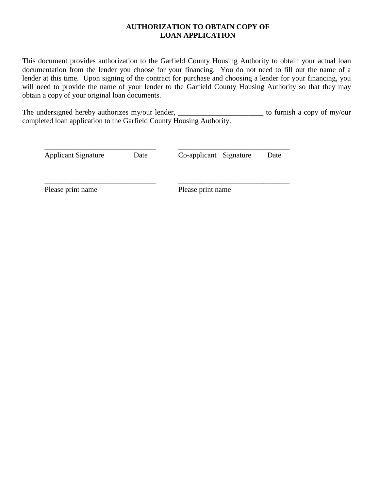#### **AUTHORIZATION TO OBTAIN COPY OF LOAN APPLICATION**

This document provides authorization to the Garfield County Housing Authority to obtain your actual loan documentation from the lender you choose for your financing. You do not need to fill out the name of a lender at this time. Upon signing of the contract for purchase and choosing a lender for your financing, you will need to provide the name of your lender to the Garfield County Housing Authority so that they may obtain a copy of your original loan documents.

The undersigned hereby authorizes my/our lender, \_\_\_\_\_\_\_\_\_\_\_\_\_\_\_\_\_\_\_\_\_\_\_\_\_\_\_\_\_\_\_\_ to furnish a copy of my/our completed loan application to the Garfield County Housing Authority.

\_\_\_\_\_\_\_\_\_\_\_\_\_\_\_\_\_\_\_\_\_\_\_\_\_\_\_\_\_\_ \_\_\_\_\_\_\_\_\_\_\_\_\_\_\_\_\_\_\_\_\_\_\_\_\_\_\_\_\_\_ Applicant Signature Date Co-applicant Signature Date

\_\_\_\_\_\_\_\_\_\_\_\_\_\_\_\_\_\_\_\_\_\_\_\_\_\_\_\_\_\_ \_\_\_\_\_\_\_\_\_\_\_\_\_\_\_\_\_\_\_\_\_\_\_\_\_\_\_\_\_\_

Please print name Please print name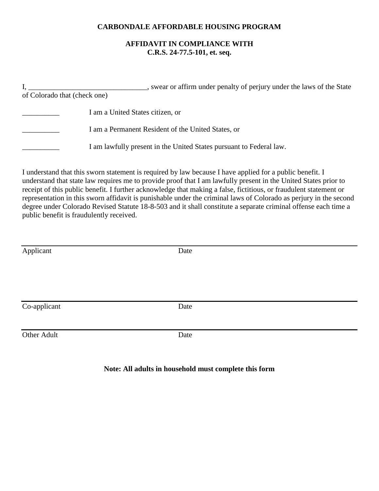#### **CARBONDALE AFFORDABLE HOUSING PROGRAM**

#### **AFFIDAVIT IN COMPLIANCE WITH C.R.S. 24-77.5-101, et. seq.**

I, \_\_\_\_\_\_\_\_\_\_\_\_\_\_\_\_\_\_\_\_\_\_\_\_\_\_\_\_\_\_\_, swear or affirm under penalty of perjury under the laws of the State of Colorado that (check one) \_\_\_\_\_\_\_\_\_\_ I am a United States citizen, or I am a Permanent Resident of the United States, or I am lawfully present in the United States pursuant to Federal law.

I understand that this sworn statement is required by law because I have applied for a public benefit. I understand that state law requires me to provide proof that I am lawfully present in the United States prior to receipt of this public benefit. I further acknowledge that making a false, fictitious, or fraudulent statement or representation in this sworn affidavit is punishable under the criminal laws of Colorado as perjury in the second degree under Colorado Revised Statute 18-8-503 and it shall constitute a separate criminal offense each time a public benefit is fraudulently received.

| Applicant    | Date |  |
|--------------|------|--|
|              |      |  |
|              |      |  |
|              |      |  |
|              |      |  |
|              |      |  |
| Co-applicant | Date |  |
|              |      |  |
|              |      |  |
| Other Adult  | Date |  |
|              |      |  |
|              |      |  |

#### **Note: All adults in household must complete this form**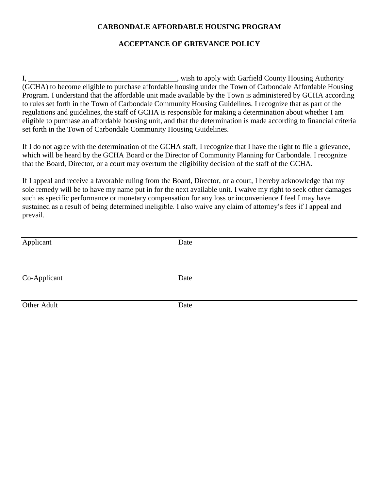#### **CARBONDALE AFFORDABLE HOUSING PROGRAM**

#### **ACCEPTANCE OF GRIEVANCE POLICY**

I, \_\_\_\_\_\_\_\_\_\_\_\_\_\_\_\_\_\_\_\_\_\_\_\_\_\_\_\_\_\_\_\_\_\_\_\_\_\_\_\_, wish to apply with Garfield County Housing Authority (GCHA) to become eligible to purchase affordable housing under the Town of Carbondale Affordable Housing Program. I understand that the affordable unit made available by the Town is administered by GCHA according to rules set forth in the Town of Carbondale Community Housing Guidelines. I recognize that as part of the regulations and guidelines, the staff of GCHA is responsible for making a determination about whether I am eligible to purchase an affordable housing unit, and that the determination is made according to financial criteria set forth in the Town of Carbondale Community Housing Guidelines.

If I do not agree with the determination of the GCHA staff, I recognize that I have the right to file a grievance, which will be heard by the GCHA Board or the Director of Community Planning for Carbondale. I recognize that the Board, Director, or a court may overturn the eligibility decision of the staff of the GCHA.

If I appeal and receive a favorable ruling from the Board, Director, or a court, I hereby acknowledge that my sole remedy will be to have my name put in for the next available unit. I waive my right to seek other damages such as specific performance or monetary compensation for any loss or inconvenience I feel I may have sustained as a result of being determined ineligible. I also waive any claim of attorney's fees if I appeal and prevail.

| Applicant    | Date |
|--------------|------|
|              |      |
|              |      |
| Co-Applicant | Date |
|              |      |
| Other Adult  | Date |
|              |      |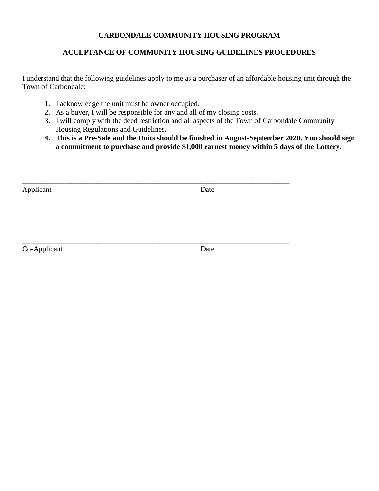#### **CARBONDALE COMMUNITY HOUSING PROGRAM**

## **ACCEPTANCE OF COMMUNITY HOUSING GUIDELINES PROCEDURES**

I understand that the following guidelines apply to me as a purchaser of an affordable housing unit through the Town of Carbondale:

- 1. I acknowledge the unit must be owner occupied.
- 2. As a buyer, I will be responsible for any and all of my closing costs.

**\_\_\_\_\_\_\_\_\_\_\_\_\_\_\_\_\_\_\_\_\_\_\_\_\_\_\_\_\_\_\_\_\_\_\_\_\_\_\_\_\_\_\_\_\_\_\_\_\_\_\_\_\_\_\_\_\_\_\_\_\_\_\_\_\_\_\_\_\_\_\_\_**

- 3. I will comply with the deed restriction and all aspects of the Town of Carbondale Community Housing Regulations and Guidelines.
- **4. This is a Pre-Sale and the Units should be finished in August-September 2020. You should sign a commitment to purchase and provide \$1,000 earnest money within 5 days of the Lottery.**

Applicant Date

\_\_\_\_\_\_\_\_\_\_\_\_\_\_\_\_\_\_\_\_\_\_\_\_\_\_\_\_\_\_\_\_\_\_\_\_\_\_\_\_\_\_\_\_\_\_\_\_\_\_\_\_\_\_\_\_\_\_\_\_\_\_\_\_\_\_\_\_\_\_\_\_ Co-Applicant Date